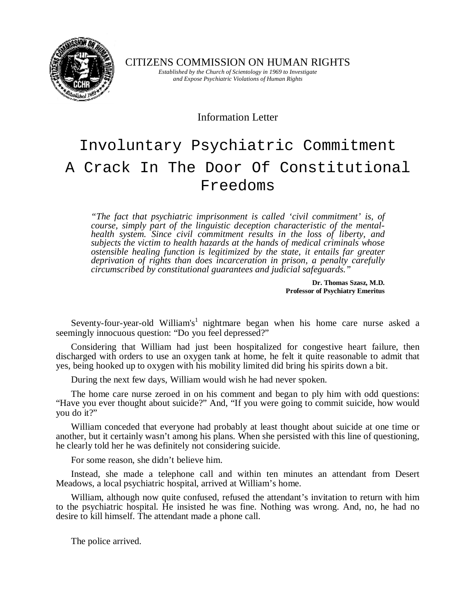

CITIZENS COMMISSION ON HUMAN RIGHTS

*Established by the Church of Scientology in 1969 to Investigate and Expose Psychiatric Violations of Human Rights* 

Information Letter

# Involuntary Psychiatric Commitment A Crack In The Door Of Constitutional Freedoms

*"The fact that psychiatric imprisonment is called 'civil commitment' is, of course, simply part of the linguistic deception characteristic of the mentalhealth system. Since civil commitment results in the loss of liberty, and subjects the victim to health hazards at the hands of medical criminals whose ostensible healing function is legitimized by the state, it entails far greater deprivation of rights than does incarceration in prison, a penalty carefully circumscribed by constitutional guarantees and judicial safeguards."* 

> **Dr. Thomas Szasz, M.D. Professor of Psychiatry Emeritus**

Seventy-four-year-old William's<sup>1</sup> nightmare began when his home care nurse asked a seemingly innocuous question: "Do you feel depressed?"

Considering that William had just been hospitalized for congestive heart failure, then discharged with orders to use an oxygen tank at home, he felt it quite reasonable to admit that yes, being hooked up to oxygen with his mobility limited did bring his spirits down a bit.

During the next few days, William would wish he had never spoken.

The home care nurse zeroed in on his comment and began to ply him with odd questions: "Have you ever thought about suicide?" And, "If you were going to commit suicide, how would you do it?"

William conceded that everyone had probably at least thought about suicide at one time or another, but it certainly wasn't among his plans. When she persisted with this line of questioning, he clearly told her he was definitely not considering suicide.

For some reason, she didn't believe him.

Instead, she made a telephone call and within ten minutes an attendant from Desert Meadows, a local psychiatric hospital, arrived at William's home.

William, although now quite confused, refused the attendant's invitation to return with him to the psychiatric hospital. He insisted he was fine. Nothing was wrong. And, no, he had no desire to kill himself. The attendant made a phone call.

The police arrived.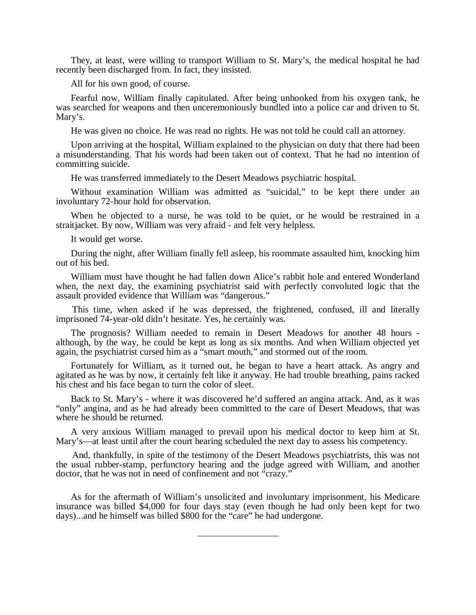They, at least, were willing to transport William to St. Mary's, the medical hospital he had recently been discharged from. In fact, they insisted.

All for his own good, of course.

Fearful now, William finally capitulated. After being unhooked from his oxygen tank, he was searched for weapons and then unceremoniously bundled into a police car and driven to St. Mary's.

He was given no choice. He was read no rights. He was not told he could call an attorney.

Upon arriving at the hospital, William explained to the physician on duty that there had been a misunderstanding. That his words had been taken out of context. That he had no intention of committing suicide.

He was transferred immediately to the Desert Meadows psychiatric hospital.

Without examination William was admitted as "suicidal," to be kept there under an involuntary 72-hour hold for observation.

When he objected to a nurse, he was told to be quiet, or he would be restrained in a straitjacket. By now, William was very afraid - and felt very helpless.

It would get worse.

During the night, after William finally fell asleep, his roommate assaulted him, knocking him out of his bed.

William must have thought he had fallen down Alice's rabbit hole and entered Wonderland when, the next day, the examining psychiatrist said with perfectly convoluted logic that the assault provided evidence that William was "dangerous."

This time, when asked if he was depressed, the frightened, confused, ill and literally imprisoned 74-year-old didn't hesitate. Yes, he certainly was.

The prognosis? William needed to remain in Desert Meadows for another 48 hours although, by the way, he could be kept as long as six months. And when William objected yet again, the psychiatrist cursed him as a "smart mouth," and stormed out of the room.

Fortunately for William, as it turned out, he began to have a heart attack. As angry and agitated as he was by now, it certainly felt like it anyway. He had trouble breathing, pains racked his chest and his face began to turn the color of sleet.

Back to St. Mary's - where it was discovered he'd suffered an angina attack. And, as it was "only" angina, and as he had already been committed to the care of Desert Meadows, that was where he should be returned.

A very anxious William managed to prevail upon his medical doctor to keep him at St. Mary's—at least until after the court hearing scheduled the next day to assess his competency.

And, thankfully, in spite of the testimony of the Desert Meadows psychiatrists, this was not the usual rubber-stamp, perfunctory hearing and the judge agreed with William, and another doctor, that he was not in need of confinement and not "crazy."

As for the aftermath of William's unsolicited and involuntary imprisonment, his Medicare insurance was billed \$4,000 for four days stay (even though he had only been kept for two days)...and he himself was billed \$800 for the "care" he had undergone.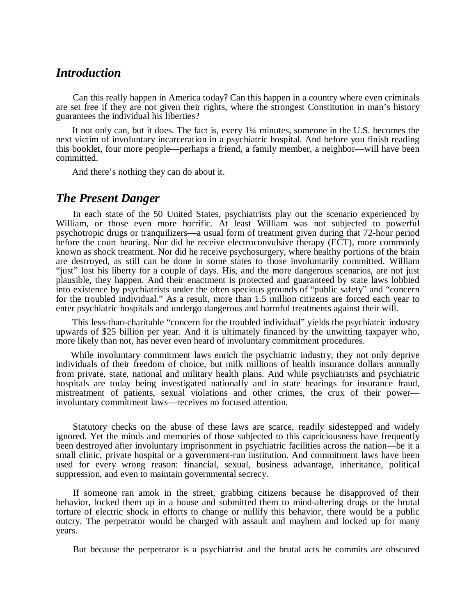#### *Introduction*

Can this really happen in America today? Can this happen in a country where even criminals are set free if they are not given their rights, where the strongest Constitution in man's history guarantees the individual his liberties?

It not only can, but it does. The fact is, every 1¼ minutes, someone in the U.S. becomes the next victim of involuntary incarceration in a psychiatric hospital. And before you finish reading this booklet, four more people—perhaps a friend, a family member, a neighbor—will have been committed.

And there's nothing they can do about it.

#### *The Present Danger*

In each state of the 50 United States, psychiatrists play out the scenario experienced by William, or those even more horrific. At least William was not subjected to powerful psychotropic drugs or tranquilizers—a usual form of treatment given during that 72-hour period before the court hearing. Nor did he receive electroconvulsive therapy (ECT), more commonly known as shock treatment. Nor did he receive psychosurgery, where healthy portions of the brain are destroyed, as still can be done in some states to those involuntarily committed. William "just" lost his liberty for a couple of days. His, and the more dangerous scenarios, are not just plausible, they happen. And their enactment is protected and guaranteed by state laws lobbied into existence by psychiatrists under the often specious grounds of "public safety" and "concern for the troubled individual." As a result, more than 1.5 million citizens are forced each year to enter psychiatric hospitals and undergo dangerous and harmful treatments against their will.

This less-than-charitable "concern for the troubled individual" yields the psychiatric industry upwards of \$25 billion per year. And it is ultimately financed by the unwitting taxpayer who, more likely than not, has never even heard of involuntary commitment procedures.

While involuntary commitment laws enrich the psychiatric industry, they not only deprive individuals of their freedom of choice, but milk millions of health insurance dollars annually from private, state, national and military health plans. And while psychiatrists and psychiatric hospitals are today being investigated nationally and in state hearings for insurance fraud, mistreatment of patients, sexual violations and other crimes, the crux of their power involuntary commitment laws—receives no focused attention.

Statutory checks on the abuse of these laws are scarce, readily sidestepped and widely ignored. Yet the minds and memories of those subjected to this capriciousness have frequently been destroyed after involuntary imprisonment in psychiatric facilities across the nation—be it a small clinic, private hospital or a government-run institution. And commitment laws have been used for every wrong reason: financial, sexual, business advantage, inheritance, political suppression, and even to maintain governmental secrecy.

If someone ran amok in the street, grabbing citizens because he disapproved of their behavior, locked them up in a house and submitted them to mind-altering drugs or the brutal torture of electric shock in efforts to change or nullify this behavior, there would be a public outcry. The perpetrator would be charged with assault and mayhem and locked up for many years.

But because the perpetrator is a psychiatrist and the brutal acts he commits are obscured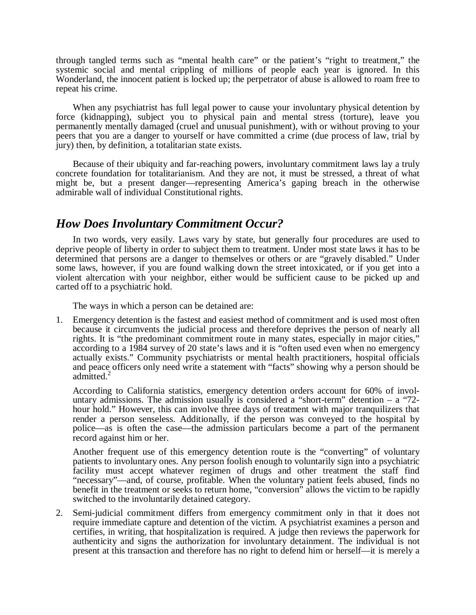through tangled terms such as "mental health care" or the patient's "right to treatment," the systemic social and mental crippling of millions of people each year is ignored. In this Wonderland, the innocent patient is locked up; the perpetrator of abuse is allowed to roam free to repeat his crime.

When any psychiatrist has full legal power to cause your involuntary physical detention by force (kidnapping), subject you to physical pain and mental stress (torture), leave you permanently mentally damaged (cruel and unusual punishment), with or without proving to your peers that you are a danger to yourself or have committed a crime (due process of law, trial by jury) then, by definition, a totalitarian state exists.

Because of their ubiquity and far-reaching powers, involuntary commitment laws lay a truly concrete foundation for totalitarianism. And they are not, it must be stressed, a threat of what might be, but a present danger—representing America's gaping breach in the otherwise admirable wall of individual Constitutional rights.

# *How Does Involuntary Commitment Occur?*

In two words, very easily. Laws vary by state, but generally four procedures are used to deprive people of liberty in order to subject them to treatment. Under most state laws it has to be determined that persons are a danger to themselves or others or are "gravely disabled." Under some laws, however, if you are found walking down the street intoxicated, or if you get into a violent altercation with your neighbor, either would be sufficient cause to be picked up and carted off to a psychiatric hold.

The ways in which a person can be detained are:

1. Emergency detention is the fastest and easiest method of commitment and is used most often because it circumvents the judicial process and therefore deprives the person of nearly all rights. It is "the predominant commitment route in many states, especially in major cities," according to a 1984 survey of 20 state's laws and it is "often used even when no emergency actually exists." Community psychiatrists or mental health practitioners, hospital officials and peace officers only need write a statement with "facts" showing why a person should be admitted. $^{2}$ 

According to California statistics, emergency detention orders account for 60% of involuntary admissions. The admission usually is considered a "short-term" detention  $-$  a "72hour hold." However, this can involve three days of treatment with major tranquilizers that render a person senseless. Additionally, if the person was conveyed to the hospital by police—as is often the case—the admission particulars become a part of the permanent record against him or her.

Another frequent use of this emergency detention route is the "converting" of voluntary patients to involuntary ones. Any person foolish enough to voluntarily sign into a psychiatric facility must accept whatever regimen of drugs and other treatment the staff find "necessary"—and, of course, profitable. When the voluntary patient feels abused, finds no benefit in the treatment or seeks to return home, "conversion" allows the victim to be rapidly switched to the involuntarily detained category.

2. Semi-judicial commitment differs from emergency commitment only in that it does not require immediate capture and detention of the victim. A psychiatrist examines a person and certifies, in writing, that hospitalization is required. A judge then reviews the paperwork for authenticity and signs the authorization for involuntary detainment. The individual is not present at this transaction and therefore has no right to defend him or herself—it is merely a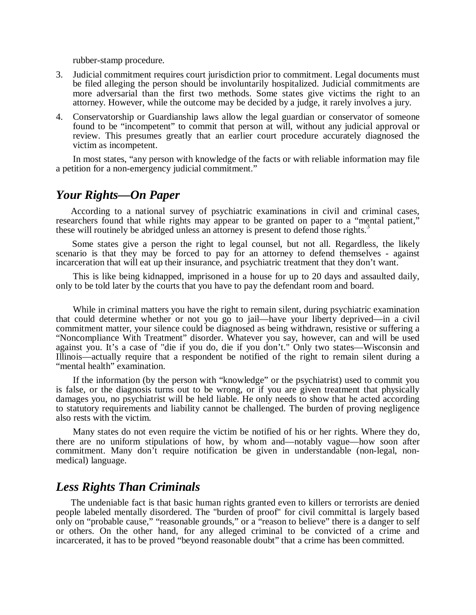rubber-stamp procedure.

- 3. Judicial commitment requires court jurisdiction prior to commitment. Legal documents must be filed alleging the person should be involuntarily hospitalized. Judicial commitments are more adversarial than the first two methods. Some states give victims the right to an attorney. However, while the outcome may be decided by a judge, it rarely involves a jury.
- 4. Conservatorship or Guardianship laws allow the legal guardian or conservator of someone found to be "incompetent" to commit that person at will, without any judicial approval or review. This presumes greatly that an earlier court procedure accurately diagnosed the victim as incompetent.

In most states, "any person with knowledge of the facts or with reliable information may file a petition for a non-emergency judicial commitment."

# *Your Rights—On Paper*

According to a national survey of psychiatric examinations in civil and criminal cases, researchers found that while rights may appear to be granted on paper to a "mental patient," these will routinely be abridged unless an attorney is present to defend those rights.<sup>3</sup>

Some states give a person the right to legal counsel, but not all. Regardless, the likely scenario is that they may be forced to pay for an attorney to defend themselves - against incarceration that will eat up their insurance, and psychiatric treatment that they don't want.

This is like being kidnapped, imprisoned in a house for up to 20 days and assaulted daily, only to be told later by the courts that you have to pay the defendant room and board.

While in criminal matters you have the right to remain silent, during psychiatric examination that could determine whether or not you go to jail—have your liberty deprived—in a civil commitment matter, your silence could be diagnosed as being withdrawn, resistive or suffering a "Noncompliance With Treatment" disorder. Whatever you say, however, can and will be used against you. It's a case of "die if you do, die if you don't." Only two states—Wisconsin and Illinois—actually require that a respondent be notified of the right to remain silent during a "mental health" examination.

If the information (by the person with "knowledge" or the psychiatrist) used to commit you is false, or the diagnosis turns out to be wrong, or if you are given treatment that physically damages you, no psychiatrist will be held liable. He only needs to show that he acted according to statutory requirements and liability cannot be challenged. The burden of proving negligence also rests with the victim.

Many states do not even require the victim be notified of his or her rights. Where they do, there are no uniform stipulations of how, by whom and—notably vague—how soon after commitment. Many don't require notification be given in understandable (non-legal, nonmedical) language.

# *Less Rights Than Criminals*

The undeniable fact is that basic human rights granted even to killers or terrorists are denied people labeled mentally disordered. The "burden of proof" for civil committal is largely based only on "probable cause," "reasonable grounds," or a "reason to believe" there is a danger to self or others. On the other hand, for any alleged criminal to be convicted of a crime and incarcerated, it has to be proved "beyond reasonable doubt" that a crime has been committed.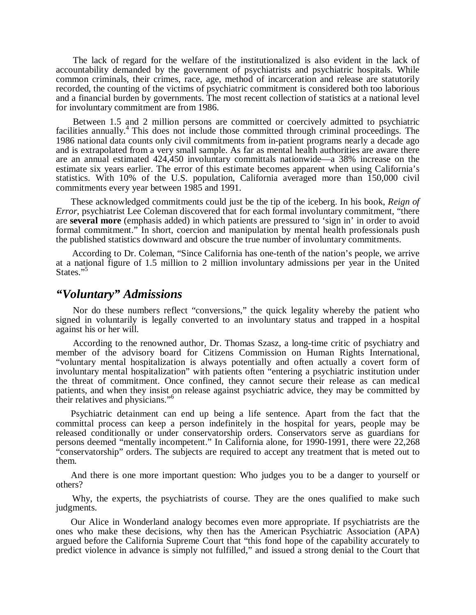The lack of regard for the welfare of the institutionalized is also evident in the lack of accountability demanded by the government of psychiatrists and psychiatric hospitals. While common criminals, their crimes, race, age, method of incarceration and release are statutorily recorded, the counting of the victims of psychiatric commitment is considered both too laborious and a financial burden by governments. The most recent collection of statistics at a national level for involuntary commitment are from 1986.

Between 1.5 and 2 million persons are committed or coercively admitted to psychiatric facilities annually.<sup>4</sup> This does not include those committed through criminal proceedings. The 1986 national data counts only civil commitments from in-patient programs nearly a decade ago and is extrapolated from a very small sample. As far as mental health authorities are aware there are an annual estimated 424,450 involuntary committals nationwide—a 38% increase on the estimate six years earlier. The error of this estimate becomes apparent when using California's statistics. With 10% of the U.S. population, California averaged more than 150,000 civil commitments every year between 1985 and 1991.

These acknowledged commitments could just be the tip of the iceberg. In his book, *Reign of Error*, psychiatrist Lee Coleman discovered that for each formal involuntary commitment, "there are **several more** (emphasis added) in which patients are pressured to 'sign in' in order to avoid formal commitment." In short, coercion and manipulation by mental health professionals push the published statistics downward and obscure the true number of involuntary commitments.

According to Dr. Coleman, "Since California has one-tenth of the nation's people, we arrive at a national figure of 1.5 million to 2 million involuntary admissions per year in the United States."

#### *"Voluntary" Admissions*

Nor do these numbers reflect "conversions," the quick legality whereby the patient who signed in voluntarily is legally converted to an involuntary status and trapped in a hospital against his or her will.

According to the renowned author, Dr. Thomas Szasz, a long-time critic of psychiatry and member of the advisory board for Citizens Commission on Human Rights International, "voluntary mental hospitalization is always potentially and often actually a covert form of involuntary mental hospitalization" with patients often "entering a psychiatric institution under the threat of commitment. Once confined, they cannot secure their release as can medical patients, and when they insist on release against psychiatric advice, they may be committed by their relatives and physicians."<sup>6</sup>

Psychiatric detainment can end up being a life sentence. Apart from the fact that the committal process can keep a person indefinitely in the hospital for years, people may be released conditionally or under conservatorship orders. Conservators serve as guardians for persons deemed "mentally incompetent." In California alone, for 1990-1991, there were 22,268 "conservatorship" orders. The subjects are required to accept any treatment that is meted out to them.

And there is one more important question: Who judges you to be a danger to yourself or others?

Why, the experts, the psychiatrists of course. They are the ones qualified to make such judgments.

Our Alice in Wonderland analogy becomes even more appropriate. If psychiatrists are the ones who make these decisions, why then has the American Psychiatric Association (APA) argued before the California Supreme Court that "this fond hope of the capability accurately to predict violence in advance is simply not fulfilled," and issued a strong denial to the Court that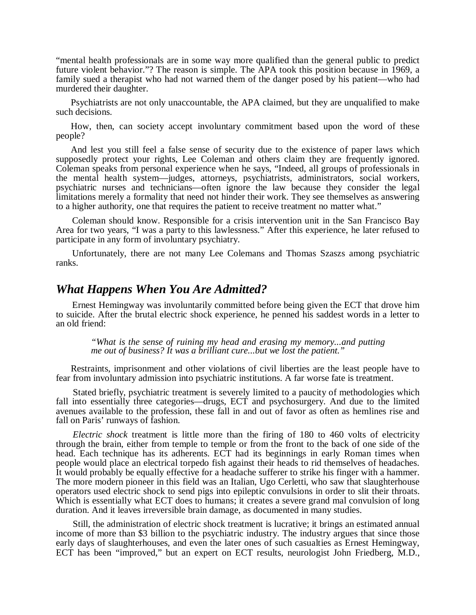"mental health professionals are in some way more qualified than the general public to predict future violent behavior."? The reason is simple. The APA took this position because in 1969, a family sued a therapist who had not warned them of the danger posed by his patient—who had murdered their daughter.

Psychiatrists are not only unaccountable, the APA claimed, but they are unqualified to make such decisions.

How, then, can society accept involuntary commitment based upon the word of these people?

And lest you still feel a false sense of security due to the existence of paper laws which supposedly protect your rights, Lee Coleman and others claim they are frequently ignored. Coleman speaks from personal experience when he says, "Indeed, all groups of professionals in the mental health system—judges, attorneys, psychiatrists, administrators, social workers, psychiatric nurses and technicians—often ignore the law because they consider the legal limitations merely a formality that need not hinder their work. They see themselves as answering to a higher authority, one that requires the patient to receive treatment no matter what."

Coleman should know. Responsible for a crisis intervention unit in the San Francisco Bay Area for two years, "I was a party to this lawlessness." After this experience, he later refused to participate in any form of involuntary psychiatry.

Unfortunately, there are not many Lee Colemans and Thomas Szaszs among psychiatric ranks.

#### *What Happens When You Are Admitted?*

Ernest Hemingway was involuntarily committed before being given the ECT that drove him to suicide. After the brutal electric shock experience, he penned his saddest words in a letter to an old friend:

*"What is the sense of ruining my head and erasing my memory...and putting me out of business? It was a brilliant cure...but we lost the patient."* 

Restraints, imprisonment and other violations of civil liberties are the least people have to fear from involuntary admission into psychiatric institutions. A far worse fate is treatment.

Stated briefly, psychiatric treatment is severely limited to a paucity of methodologies which fall into essentially three categories—drugs, ECT and psychosurgery. And due to the limited avenues available to the profession, these fall in and out of favor as often as hemlines rise and fall on Paris' runways of fashion.

*Electric shock* treatment is little more than the firing of 180 to 460 volts of electricity through the brain, either from temple to temple or from the front to the back of one side of the head. Each technique has its adherents. ECT had its beginnings in early Roman times when people would place an electrical torpedo fish against their heads to rid themselves of headaches. It would probably be equally effective for a headache sufferer to strike his finger with a hammer. The more modern pioneer in this field was an Italian, Ugo Cerletti, who saw that slaughterhouse operators used electric shock to send pigs into epileptic convulsions in order to slit their throats. Which is essentially what ECT does to humans; it creates a severe grand mal convulsion of long duration. And it leaves irreversible brain damage, as documented in many studies.

Still, the administration of electric shock treatment is lucrative; it brings an estimated annual income of more than \$3 billion to the psychiatric industry. The industry argues that since those early days of slaughterhouses, and even the later ones of such casualties as Ernest Hemingway, ECT has been "improved," but an expert on ECT results, neurologist John Friedberg, M.D.,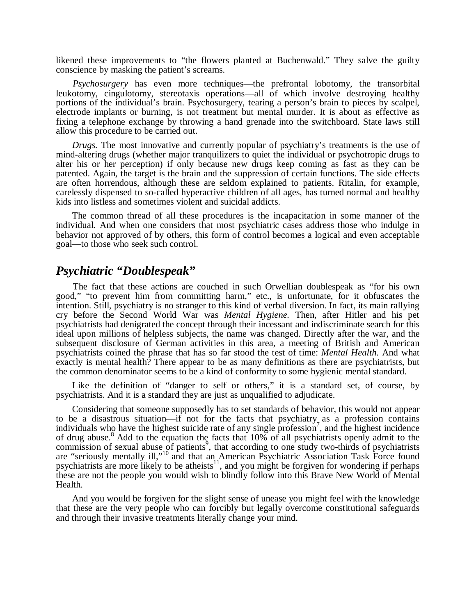likened these improvements to "the flowers planted at Buchenwald." They salve the guilty conscience by masking the patient's screams.

*Psychosurgery* has even more techniques—the prefrontal lobotomy, the transorbital leukotomy, cingulotomy, stereotaxis operations—all of which involve destroying healthy portions of the individual's brain. Psychosurgery, tearing a person's brain to pieces by scalpel, electrode implants or burning, is not treatment but mental murder. It is about as effective as fixing a telephone exchange by throwing a hand grenade into the switchboard. State laws still allow this procedure to be carried out.

*Drugs.* The most innovative and currently popular of psychiatry's treatments is the use of mind-altering drugs (whether major tranquilizers to quiet the individual or psychotropic drugs to alter his or her perception) if only because new drugs keep coming as fast as they can be patented. Again, the target is the brain and the suppression of certain functions. The side effects are often horrendous, although these are seldom explained to patients. Ritalin, for example, carelessly dispensed to so-called hyperactive children of all ages, has turned normal and healthy kids into listless and sometimes violent and suicidal addicts.

The common thread of all these procedures is the incapacitation in some manner of the individual. And when one considers that most psychiatric cases address those who indulge in behavior not approved of by others, this form of control becomes a logical and even acceptable goal—to those who seek such control.

## *Psychiatric "Doublespeak"*

The fact that these actions are couched in such Orwellian doublespeak as "for his own good," "to prevent him from committing harm," etc., is unfortunate, for it obfuscates the intention. Still, psychiatry is no stranger to this kind of verbal diversion. In fact, its main rallying cry before the Second World War was *Mental Hygiene.* Then, after Hitler and his pet psychiatrists had denigrated the concept through their incessant and indiscriminate search for this ideal upon millions of helpless subjects, the name was changed. Directly after the war, and the subsequent disclosure of German activities in this area, a meeting of British and American psychiatrists coined the phrase that has so far stood the test of time: *Mental Health.* And what exactly is mental health? There appear to be as many definitions as there are psychiatrists, but the common denominator seems to be a kind of conformity to some hygienic mental standard.

Like the definition of "danger to self or others," it is a standard set, of course, by psychiatrists. And it is a standard they are just as unqualified to adjudicate.

Considering that someone supposedly has to set standards of behavior, this would not appear to be a disastrous situation—if not for the facts that psychiatry as a profession contains individuals who have the highest suicide rate of any single profession<sup>7</sup>, and the highest incidence of drug abuse.<sup>8</sup> Add to the equation the facts that  $10\%$  of all psychiatrists openly admit to the commission of sexual abuse of patients<sup>9</sup>, that according to one study two-thirds of psychiatrists are "seriously mentally ill,"<sup>10</sup> and that an American Psychiatric Association Task Force found psychiatrists are more likely to be atheists<sup>11</sup>, and you might be forgiven for wondering if perhaps these are not the people you would wish to blindly follow into this Brave New World of Mental Health.

And you would be forgiven for the slight sense of unease you might feel with the knowledge that these are the very people who can forcibly but legally overcome constitutional safeguards and through their invasive treatments literally change your mind.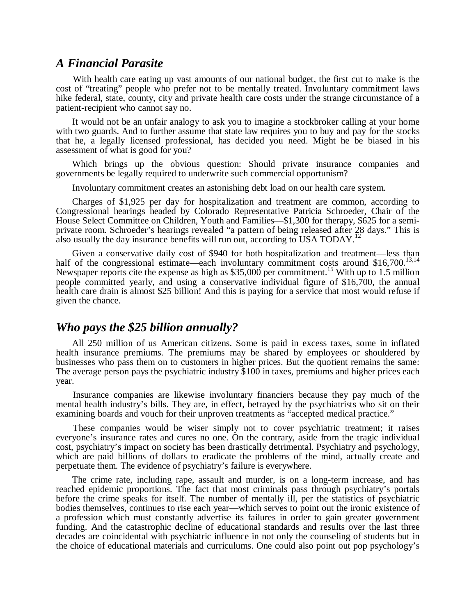#### *A Financial Parasite*

With health care eating up vast amounts of our national budget, the first cut to make is the cost of "treating" people who prefer not to be mentally treated. Involuntary commitment laws hike federal, state, county, city and private health care costs under the strange circumstance of a patient-recipient who cannot say no.

It would not be an unfair analogy to ask you to imagine a stockbroker calling at your home with two guards. And to further assume that state law requires you to buy and pay for the stocks that he, a legally licensed professional, has decided you need. Might he be biased in his assessment of what is good for you?

Which brings up the obvious question: Should private insurance companies and governments be legally required to underwrite such commercial opportunism?

Involuntary commitment creates an astonishing debt load on our health care system.

Charges of \$1,925 per day for hospitalization and treatment are common, according to Congressional hearings headed by Colorado Representative Patricia Schroeder, Chair of the House Select Committee on Children, Youth and Families—\$1,300 for therapy, \$625 for a semiprivate room. Schroeder's hearings revealed "a pattern of being released after 28 days." This is also usually the day insurance benefits will run out, according to USA TODAY.<sup>1</sup>

Given a conservative daily cost of \$940 for both hospitalization and treatment—less than half of the congressional estimate—each involuntary commitment costs around  $$16,700$ .<sup>13,1</sup> Newspaper reports cite the expense as high as  $$35,000$  per commitment.<sup>15</sup> With up to 1.5 million people committed yearly, and using a conservative individual figure of \$16,700, the annual health care drain is almost \$25 billion! And this is paying for a service that most would refuse if given the chance.

## *Who pays the \$25 billion annually?*

All 250 million of us American citizens. Some is paid in excess taxes, some in inflated health insurance premiums. The premiums may be shared by employees or shouldered by businesses who pass them on to customers in higher prices. But the quotient remains the same: The average person pays the psychiatric industry \$100 in taxes, premiums and higher prices each year.

Insurance companies are likewise involuntary financiers because they pay much of the mental health industry's bills. They are, in effect, betrayed by the psychiatrists who sit on their examining boards and vouch for their unproven treatments as "accepted medical practice."

These companies would be wiser simply not to cover psychiatric treatment; it raises everyone's insurance rates and cures no one. On the contrary, aside from the tragic individual cost, psychiatry's impact on society has been drastically detrimental. Psychiatry and psychology, which are paid billions of dollars to eradicate the problems of the mind, actually create and perpetuate them. The evidence of psychiatry's failure is everywhere.

The crime rate, including rape, assault and murder, is on a long-term increase, and has reached epidemic proportions. The fact that most criminals pass through psychiatry's portals before the crime speaks for itself. The number of mentally ill, per the statistics of psychiatric bodies themselves, continues to rise each year—which serves to point out the ironic existence of a profession which must constantly advertise its failures in order to gain greater government funding. And the catastrophic decline of educational standards and results over the last three decades are coincidental with psychiatric influence in not only the counseling of students but in the choice of educational materials and curriculums. One could also point out pop psychology's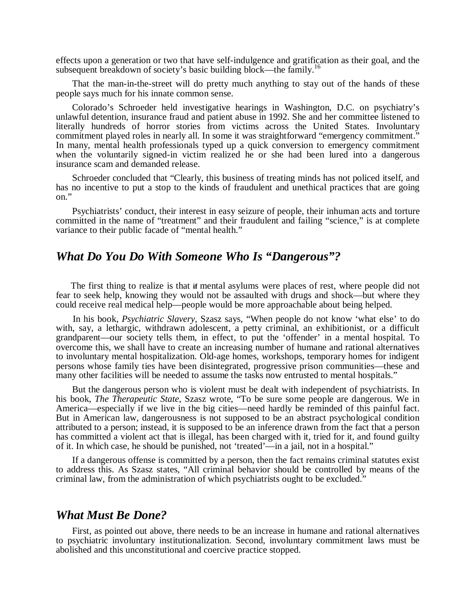effects upon a generation or two that have self-indulgence and gratification as their goal, and the subsequent breakdown of society's basic building block—the family.<sup>16</sup>

That the man-in-the-street will do pretty much anything to stay out of the hands of these people says much for his innate common sense.

Colorado's Schroeder held investigative hearings in Washington, D.C. on psychiatry's unlawful detention, insurance fraud and patient abuse in 1992. She and her committee listened to literally hundreds of horror stories from victims across the United States. Involuntary commitment played roles in nearly all. In some it was straightforward "emergency commitment." In many, mental health professionals typed up a quick conversion to emergency commitment when the voluntarily signed-in victim realized he or she had been lured into a dangerous insurance scam and demanded release.

Schroeder concluded that "Clearly, this business of treating minds has not policed itself, and has no incentive to put a stop to the kinds of fraudulent and unethical practices that are going on."

Psychiatrists' conduct, their interest in easy seizure of people, their inhuman acts and torture committed in the name of "treatment" and their fraudulent and failing "science," is at complete variance to their public facade of "mental health."

#### *What Do You Do With Someone Who Is "Dangerous"?*

The first thing to realize is that if mental asylums were places of rest, where people did not fear to seek help, knowing they would not be assaulted with drugs and shock—but where they could receive real medical help—people would be more approachable about being helped.

In his book, *Psychiatric Slavery,* Szasz says, "When people do not know 'what else' to do with, say, a lethargic, withdrawn adolescent, a petty criminal, an exhibitionist, or a difficult grandparent—our society tells them, in effect, to put the 'offender' in a mental hospital. To overcome this, we shall have to create an increasing number of humane and rational alternatives to involuntary mental hospitalization. Old-age homes, workshops, temporary homes for indigent persons whose family ties have been disintegrated, progressive prison communities—these and many other facilities will be needed to assume the tasks now entrusted to mental hospitals."

But the dangerous person who is violent must be dealt with independent of psychiatrists. In his book, *The Therapeutic State*, Szasz wrote, "To be sure some people are dangerous. We in America—especially if we live in the big cities—need hardly be reminded of this painful fact. But in American law, dangerousness is not supposed to be an abstract psychological condition attributed to a person; instead, it is supposed to be an inference drawn from the fact that a person has committed a violent act that is illegal, has been charged with it, tried for it, and found guilty of it. In which case, he should be punished, not 'treated'—in a jail, not in a hospital."

If a dangerous offense is committed by a person, then the fact remains criminal statutes exist to address this. As Szasz states, "All criminal behavior should be controlled by means of the criminal law, from the administration of which psychiatrists ought to be excluded."

# *What Must Be Done?*

First, as pointed out above, there needs to be an increase in humane and rational alternatives to psychiatric involuntary institutionalization. Second, involuntary commitment laws must be abolished and this unconstitutional and coercive practice stopped.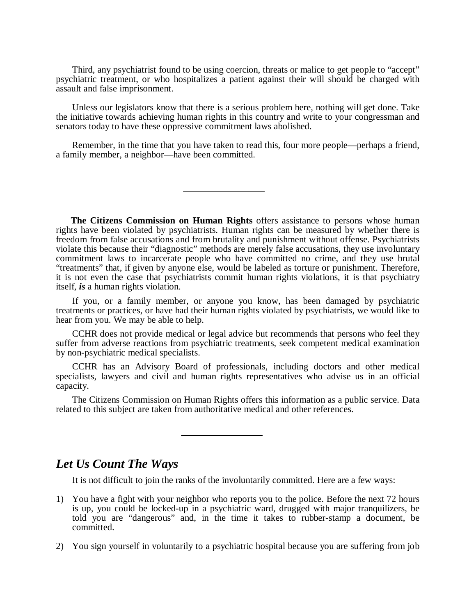Third, any psychiatrist found to be using coercion, threats or malice to get people to "accept" psychiatric treatment, or who hospitalizes a patient against their will should be charged with assault and false imprisonment.

Unless our legislators know that there is a serious problem here, nothing will get done. Take the initiative towards achieving human rights in this country and write to your congressman and senators today to have these oppressive commitment laws abolished.

Remember, in the time that you have taken to read this, four more people—perhaps a friend, a family member, a neighbor—have been committed.

**The Citizens Commission on Human Rights** offers assistance to persons whose human rights have been violated by psychiatrists. Human rights can be measured by whether there is freedom from false accusations and from brutality and punishment without offense. Psychiatrists violate this because their "diagnostic" methods are merely false accusations, they use involuntary commitment laws to incarcerate people who have committed no crime, and they use brutal "treatments" that, if given by anyone else, would be labeled as torture or punishment. Therefore, it is not even the case that psychiatrists commit human rights violations, it is that psychiatry itself, *is* a human rights violation.

If you, or a family member, or anyone you know, has been damaged by psychiatric treatments or practices, or have had their human rights violated by psychiatrists, we would like to hear from you. We may be able to help.

CCHR does not provide medical or legal advice but recommends that persons who feel they suffer from adverse reactions from psychiatric treatments, seek competent medical examination by non-psychiatric medical specialists.

CCHR has an Advisory Board of professionals, including doctors and other medical specialists, lawyers and civil and human rights representatives who advise us in an official capacity.

The Citizens Commission on Human Rights offers this information as a public service. Data related to this subject are taken from authoritative medical and other references.

# *Let Us Count The Ways*

It is not difficult to join the ranks of the involuntarily committed. Here are a few ways:

- 1) You have a fight with your neighbor who reports you to the police. Before the next 72 hours is up, you could be locked-up in a psychiatric ward, drugged with major tranquilizers, be told you are "dangerous" and, in the time it takes to rubber-stamp a document, be committed.
- 2) You sign yourself in voluntarily to a psychiatric hospital because you are suffering from job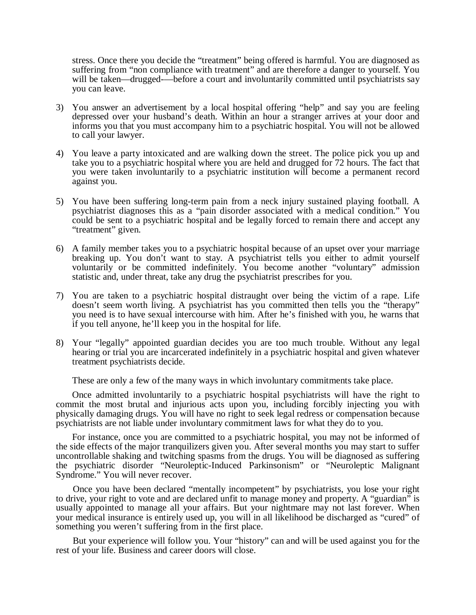stress. Once there you decide the "treatment" being offered is harmful. You are diagnosed as suffering from "non compliance with treatment" and are therefore a danger to yourself. You will be taken—drugged—before a court and involuntarily committed until psychiatrists say you can leave.

- 3) You answer an advertisement by a local hospital offering "help" and say you are feeling depressed over your husband's death. Within an hour a stranger arrives at your door and informs you that you must accompany him to a psychiatric hospital. You will not be allowed to call your lawyer.
- 4) You leave a party intoxicated and are walking down the street. The police pick you up and take you to a psychiatric hospital where you are held and drugged for 72 hours. The fact that you were taken involuntarily to a psychiatric institution will become a permanent record against you.
- 5) You have been suffering long-term pain from a neck injury sustained playing football. A psychiatrist diagnoses this as a "pain disorder associated with a medical condition." You could be sent to a psychiatric hospital and be legally forced to remain there and accept any "treatment" given.
- 6) A family member takes you to a psychiatric hospital because of an upset over your marriage breaking up. You don't want to stay. A psychiatrist tells you either to admit yourself voluntarily or be committed indefinitely. You become another "voluntary" admission statistic and, under threat, take any drug the psychiatrist prescribes for you.
- 7) You are taken to a psychiatric hospital distraught over being the victim of a rape. Life doesn't seem worth living. A psychiatrist has you committed then tells you the "therapy" you need is to have sexual intercourse with him. After he's finished with you, he warns that if you tell anyone, he'll keep you in the hospital for life.
- 8) Your "legally" appointed guardian decides you are too much trouble. Without any legal hearing or trial you are incarcerated indefinitely in a psychiatric hospital and given whatever treatment psychiatrists decide.

These are only a few of the many ways in which involuntary commitments take place.

Once admitted involuntarily to a psychiatric hospital psychiatrists will have the right to commit the most brutal and injurious acts upon you, including forcibly injecting you with physically damaging drugs. You will have no right to seek legal redress or compensation because psychiatrists are not liable under involuntary commitment laws for what they do to you.

For instance, once you are committed to a psychiatric hospital, you may not be informed of the side effects of the major tranquilizers given you. After several months you may start to suffer uncontrollable shaking and twitching spasms from the drugs. You will be diagnosed as suffering the psychiatric disorder "Neuroleptic-Induced Parkinsonism" or "Neuroleptic Malignant Syndrome." You will never recover.

Once you have been declared "mentally incompetent" by psychiatrists, you lose your right to drive, your right to vote and are declared unfit to manage money and property. A "guardian" is usually appointed to manage all your affairs. But your nightmare may not last forever. When your medical insurance is entirely used up, you will in all likelihood be discharged as "cured" of something you weren't suffering from in the first place.

But your experience will follow you. Your "history" can and will be used against you for the rest of your life. Business and career doors will close.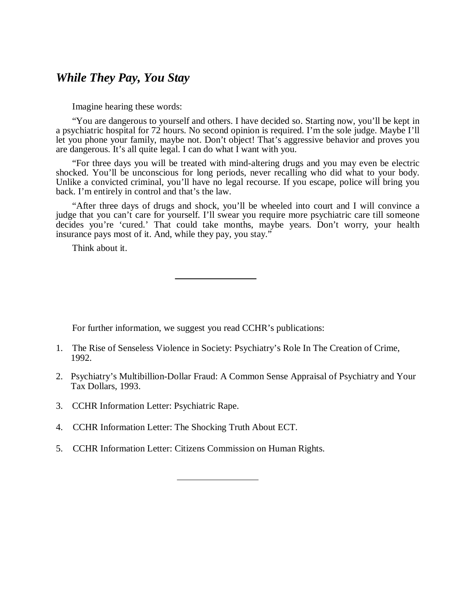# *While They Pay, You Stay*

Imagine hearing these words:

"You are dangerous to yourself and others. I have decided so. Starting now, you'll be kept in a psychiatric hospital for 72 hours. No second opinion is required. I'm the sole judge. Maybe I'll let you phone your family, maybe not. Don't object! That's aggressive behavior and proves you are dangerous. It's all quite legal. I can do what I want with you.

"For three days you will be treated with mind-altering drugs and you may even be electric shocked. You'll be unconscious for long periods, never recalling who did what to your body. Unlike a convicted criminal, you'll have no legal recourse. If you escape, police will bring you back. I'm entirely in control and that's the law.

"After three days of drugs and shock, you'll be wheeled into court and I will convince a judge that you can't care for yourself. I'll swear you require more psychiatric care till someone decides you're 'cured.' That could take months, maybe years. Don't worry, your health insurance pays most of it. And, while they pay, you stay."

Think about it.

For further information, we suggest you read CCHR's publications:

- 1. The Rise of Senseless Violence in Society: Psychiatry's Role In The Creation of Crime, 1992.
- 2. Psychiatry's Multibillion-Dollar Fraud: A Common Sense Appraisal of Psychiatry and Your Tax Dollars, 1993.
- 3. CCHR Information Letter: Psychiatric Rape.
- 4. CCHR Information Letter: The Shocking Truth About ECT.
- 5. CCHR Information Letter: Citizens Commission on Human Rights.